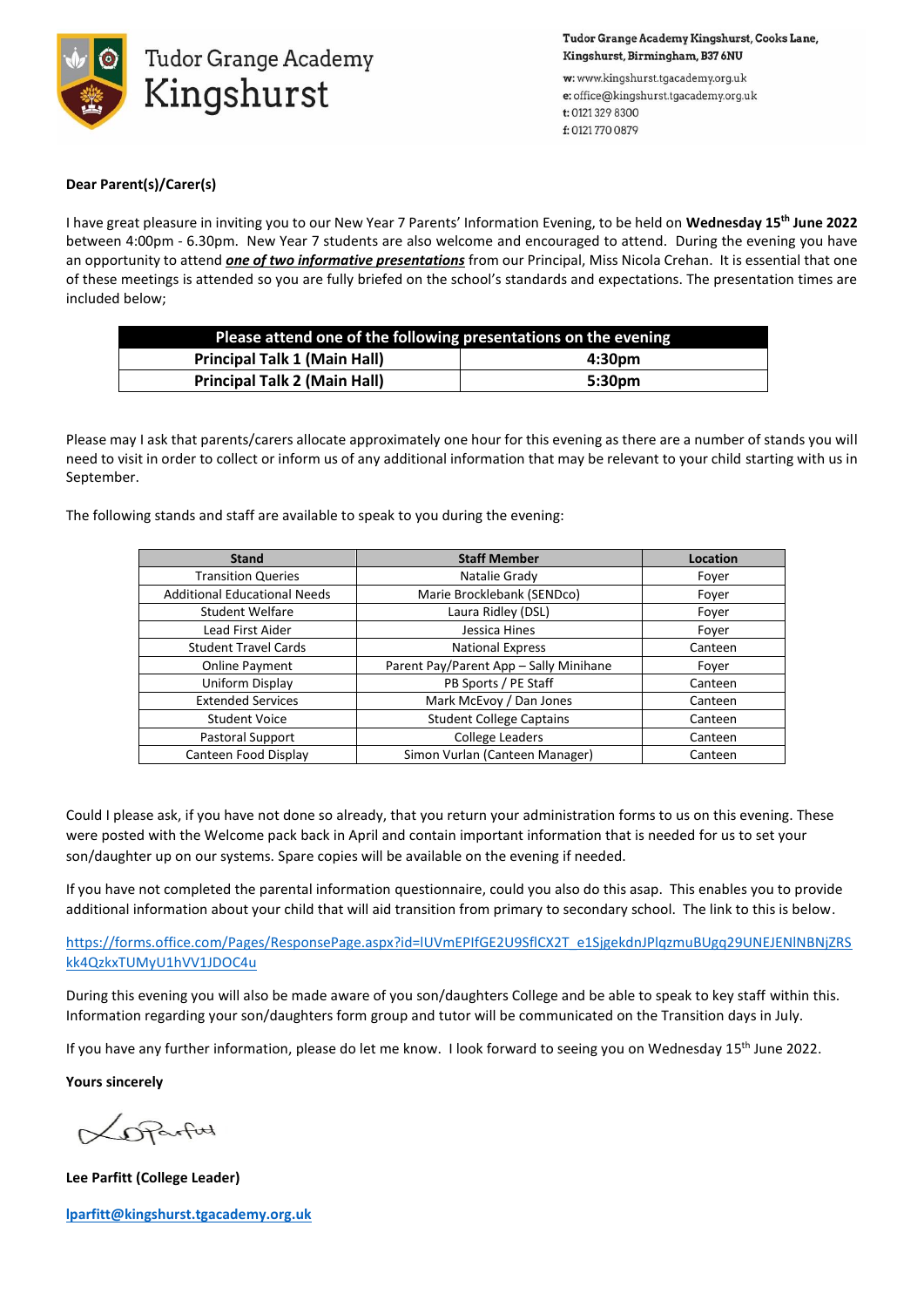

Tudor Grange Academy Kingshurst, Cooks Lane, Kingshurst, Birmingham, B37 6NU

w: www.kingshurst.tgacademy.org.uk e: office@kingshurst.tgacademy.org.uk t: 0121 329 8300 f: 01217700879

## **Dear Parent(s)/Carer(s)**

I have great pleasure in inviting you to our New Year 7 Parents' Information Evening, to be held on **Wednesday 15th June 2022** between 4:00pm - 6.30pm. New Year 7 students are also welcome and encouraged to attend. During the evening you have an opportunity to attend *one of two informative presentations* from our Principal, Miss Nicola Crehan. It is essential that one of these meetings is attended so you are fully briefed on the school's standards and expectations. The presentation times are included below;

| Please attend one of the following presentations on the evening |        |
|-----------------------------------------------------------------|--------|
| <b>Principal Talk 1 (Main Hall)</b>                             | 4:30pm |
| <b>Principal Talk 2 (Main Hall)</b>                             | 5:30pm |

Please may I ask that parents/carers allocate approximately one hour for this evening as there are a number of stands you will need to visit in order to collect or inform us of any additional information that may be relevant to your child starting with us in September.

The following stands and staff are available to speak to you during the evening:

| <b>Stand</b>                        | <b>Staff Member</b>                    | Location |
|-------------------------------------|----------------------------------------|----------|
| <b>Transition Queries</b>           | Natalie Grady                          | Foyer    |
| <b>Additional Educational Needs</b> | Marie Brocklebank (SENDco)             | Foyer    |
| <b>Student Welfare</b>              | Laura Ridley (DSL)                     | Foyer    |
| Lead First Aider                    | Jessica Hines                          | Fover    |
| <b>Student Travel Cards</b>         | <b>National Express</b>                | Canteen  |
| <b>Online Payment</b>               | Parent Pay/Parent App - Sally Minihane | Fover    |
| Uniform Display                     | PB Sports / PE Staff                   | Canteen  |
| <b>Extended Services</b>            | Mark McEvoy / Dan Jones                | Canteen  |
| <b>Student Voice</b>                | <b>Student College Captains</b>        | Canteen  |
| Pastoral Support                    | <b>College Leaders</b>                 | Canteen  |
| Canteen Food Display                | Simon Vurlan (Canteen Manager)         | Canteen  |

Could I please ask, if you have not done so already, that you return your administration forms to us on this evening. These were posted with the Welcome pack back in April and contain important information that is needed for us to set your son/daughter up on our systems. Spare copies will be available on the evening if needed.

If you have not completed the parental information questionnaire, could you also do this asap. This enables you to provide additional information about your child that will aid transition from primary to secondary school. The link to this is below.

[https://forms.office.com/Pages/ResponsePage.aspx?id=lUVmEPIfGE2U9SflCX2T\\_e1SjgekdnJPlqzmuBUgq29UNEJENlNBNjZRS](https://forms.office.com/Pages/ResponsePage.aspx?id=lUVmEPIfGE2U9SflCX2T_e1SjgekdnJPlqzmuBUgq29UNEJENlNBNjZRSkk4QzkxTUMyU1hVV1JDOC4u) [kk4QzkxTUMyU1hVV1JDOC4u](https://forms.office.com/Pages/ResponsePage.aspx?id=lUVmEPIfGE2U9SflCX2T_e1SjgekdnJPlqzmuBUgq29UNEJENlNBNjZRSkk4QzkxTUMyU1hVV1JDOC4u)

During this evening you will also be made aware of you son/daughters College and be able to speak to key staff within this. Information regarding your son/daughters form group and tutor will be communicated on the Transition days in July.

If you have any further information, please do let me know. I look forward to seeing you on Wednesday 15<sup>th</sup> June 2022.

**Yours sincerely**

DRarford

**Lee Parfitt (College Leader)**

**[lparfitt@kingshurst.tgacademy.org.uk](mailto:lparfitt@kingshurst.tgacademy.org.uk)**